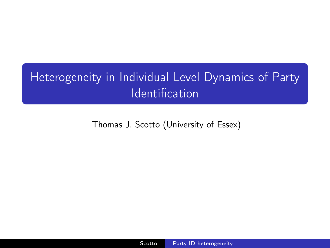## Heterogeneity in Individual Level Dynamics of Party Identification

<span id="page-0-0"></span>Thomas J. Scotto (University of Essex)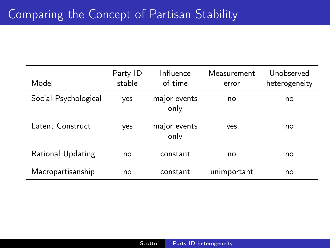| Model                | Party ID<br>stable | Influence<br>of time | Measurement<br>error | Unobserved<br>heterogeneity |
|----------------------|--------------------|----------------------|----------------------|-----------------------------|
| Social-Psychological | yes                | major events<br>only | no                   | no                          |
| Latent Construct     | yes                | major events<br>only | yes                  | no                          |
| Rational Updating    | no                 | constant             | no                   | no                          |
| Macropartisanship    | no                 | constant             | unimportant          | no                          |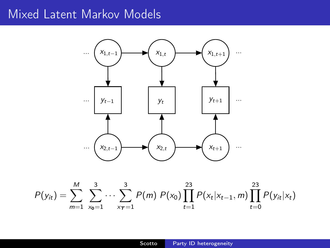## Mixed Latent Markov Models



$$
P(y_{it}) = \sum_{m=1}^{M} \sum_{x_0=1}^{3} \cdots \sum_{x_T=1}^{3} P(m) P(x_0) \prod_{t=1}^{23} P(x_t | x_{t-1}, m) \prod_{t=0}^{23} P(y_{it} | x_t)
$$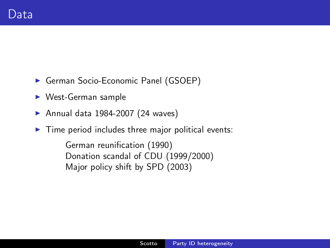- **German Socio-Economic Panel (GSOEP)**
- $\triangleright$  West-German sample
- Annual data 1984-2007 (24 waves)
- $\triangleright$  Time period includes three major political events:

German reunification (1990) Donation scandal of CDU (1999/2000) Major policy shift by SPD (2003)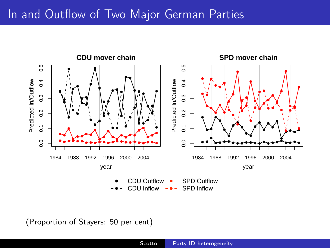## In and Outflow of Two Major German Parties



(Proportion of Stayers: 50 per cent)

0.0 0.1 0.2 0.3 0.4 0.5